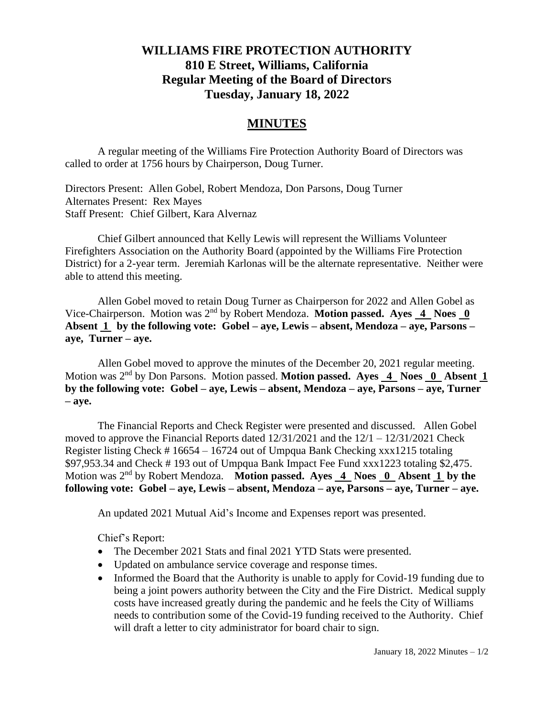## **WILLIAMS FIRE PROTECTION AUTHORITY 810 E Street, Williams, California Regular Meeting of the Board of Directors Tuesday, January 18, 2022**

## **MINUTES**

A regular meeting of the Williams Fire Protection Authority Board of Directors was called to order at 1756 hours by Chairperson, Doug Turner.

Directors Present: Allen Gobel, Robert Mendoza, Don Parsons, Doug Turner Alternates Present: Rex Mayes Staff Present: Chief Gilbert, Kara Alvernaz

Chief Gilbert announced that Kelly Lewis will represent the Williams Volunteer Firefighters Association on the Authority Board (appointed by the Williams Fire Protection District) for a 2-year term. Jeremiah Karlonas will be the alternate representative. Neither were able to attend this meeting.

Allen Gobel moved to retain Doug Turner as Chairperson for 2022 and Allen Gobel as Vice-Chairperson. Motion was 2nd by Robert Mendoza. **Motion passed. Ayes 4 Noes 0 Absent 1 by the following vote: Gobel – aye, Lewis – absent, Mendoza – aye, Parsons – aye, Turner – aye.**

Allen Gobel moved to approve the minutes of the December 20, 2021 regular meeting. Motion was 2nd by Don Parsons. Motion passed. **Motion passed. Ayes 4 Noes 0 Absent 1 by the following vote: Gobel – aye, Lewis – absent, Mendoza – aye, Parsons – aye, Turner – aye.**

The Financial Reports and Check Register were presented and discussed. Allen Gobel moved to approve the Financial Reports dated  $12/31/2021$  and the  $12/1 - 12/31/2021$  Check Register listing Check # 16654 – 16724 out of Umpqua Bank Checking xxx1215 totaling \$97,953.34 and Check # 193 out of Umpqua Bank Impact Fee Fund xxx1223 totaling \$2,475. Motion was 2<sup>nd</sup> by Robert Mendoza. **Motion passed. Ayes 4 Noes 0 Absent 1 by the following vote: Gobel – aye, Lewis – absent, Mendoza – aye, Parsons – aye, Turner – aye.**

An updated 2021 Mutual Aid's Income and Expenses report was presented.

Chief's Report:

- The December 2021 Stats and final 2021 YTD Stats were presented.
- Updated on ambulance service coverage and response times.
- Informed the Board that the Authority is unable to apply for Covid-19 funding due to being a joint powers authority between the City and the Fire District. Medical supply costs have increased greatly during the pandemic and he feels the City of Williams needs to contribution some of the Covid-19 funding received to the Authority. Chief will draft a letter to city administrator for board chair to sign.